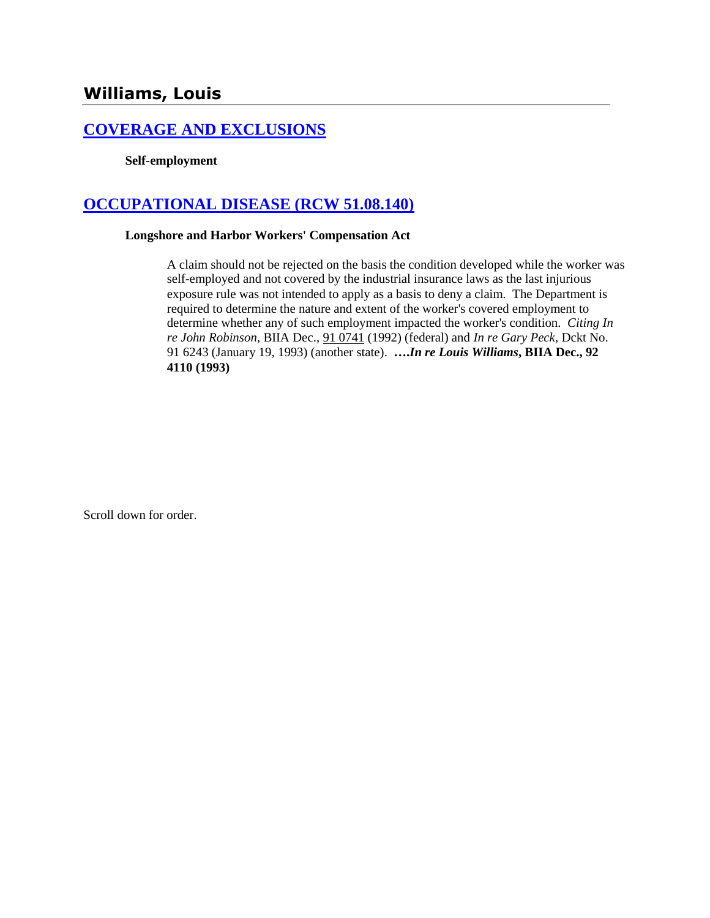# **[COVERAGE AND EXCLUSIONS](http://www.biia.wa.gov/SDSubjectIndex.html#COVERAGE_AND_EXCLUSIONS)**

### **Self-employment**

# **[OCCUPATIONAL DISEASE \(RCW 51.08.140\)](http://www.biia.wa.gov/SDSubjectIndex.html#OCCUPATIONAL_DISEASE)**

### **Longshore and Harbor Workers' Compensation Act**

A claim should not be rejected on the basis the condition developed while the worker was self-employed and not covered by the industrial insurance laws as the last injurious exposure rule was not intended to apply as a basis to deny a claim. The Department is required to determine the nature and extent of the worker's covered employment to determine whether any of such employment impacted the worker's condition. *Citing In re John Robinson*, BIIA Dec., [91 0741](http://www.biia.wa.gov/significantdecisions/910741.htm) (1992) (federal) and *In re Gary Peck,* Dckt No. 91 6243 (January 19, 1993) (another state). **….***In re Louis Williams***, BIIA Dec., 92 4110 (1993)** 

Scroll down for order.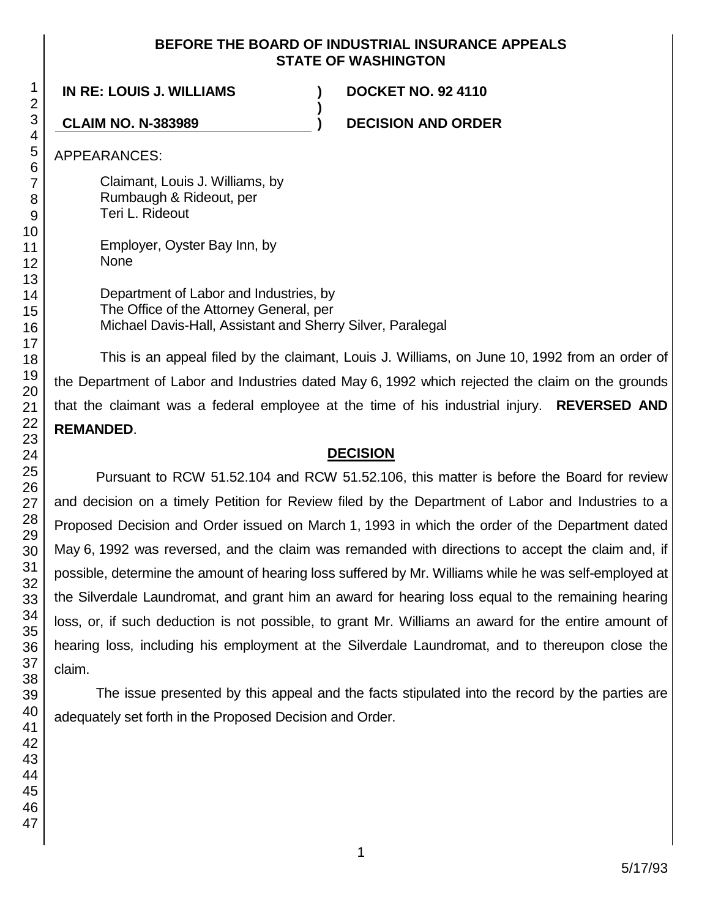## **BEFORE THE BOARD OF INDUSTRIAL INSURANCE APPEALS STATE OF WASHINGTON**

**)**

**IN RE: LOUIS J. WILLIAMS ) DOCKET NO. 92 4110**

**CLAIM NO. N-383989 ) DECISION AND ORDER**

APPEARANCES:

Claimant, Louis J. Williams, by Rumbaugh & Rideout, per Teri L. Rideout

Employer, Oyster Bay Inn, by None

Department of Labor and Industries, by The Office of the Attorney General, per Michael Davis-Hall, Assistant and Sherry Silver, Paralegal

This is an appeal filed by the claimant, Louis J. Williams, on June 10, 1992 from an order of the Department of Labor and Industries dated May 6, 1992 which rejected the claim on the grounds that the claimant was a federal employee at the time of his industrial injury. **REVERSED AND REMANDED**.

## **DECISION**

Pursuant to RCW 51.52.104 and RCW 51.52.106, this matter is before the Board for review and decision on a timely Petition for Review filed by the Department of Labor and Industries to a Proposed Decision and Order issued on March 1, 1993 in which the order of the Department dated May 6, 1992 was reversed, and the claim was remanded with directions to accept the claim and, if possible, determine the amount of hearing loss suffered by Mr. Williams while he was self-employed at the Silverdale Laundromat, and grant him an award for hearing loss equal to the remaining hearing loss, or, if such deduction is not possible, to grant Mr. Williams an award for the entire amount of hearing loss, including his employment at the Silverdale Laundromat, and to thereupon close the claim.

The issue presented by this appeal and the facts stipulated into the record by the parties are adequately set forth in the Proposed Decision and Order.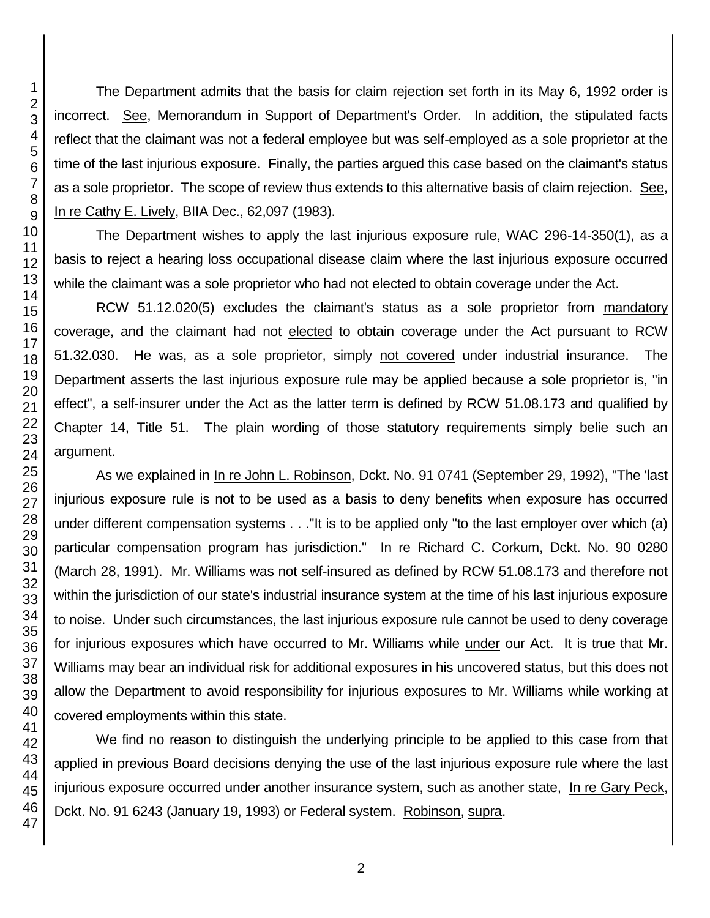The Department admits that the basis for claim rejection set forth in its May 6, 1992 order is incorrect. See, Memorandum in Support of Department's Order. In addition, the stipulated facts reflect that the claimant was not a federal employee but was self-employed as a sole proprietor at the time of the last injurious exposure. Finally, the parties argued this case based on the claimant's status as a sole proprietor. The scope of review thus extends to this alternative basis of claim rejection. See, In re Cathy E. Lively, BIIA Dec., 62,097 (1983).

The Department wishes to apply the last injurious exposure rule, WAC 296-14-350(1), as a basis to reject a hearing loss occupational disease claim where the last injurious exposure occurred while the claimant was a sole proprietor who had not elected to obtain coverage under the Act.

RCW 51.12.020(5) excludes the claimant's status as a sole proprietor from mandatory coverage, and the claimant had not elected to obtain coverage under the Act pursuant to RCW 51.32.030. He was, as a sole proprietor, simply not covered under industrial insurance. The Department asserts the last injurious exposure rule may be applied because a sole proprietor is, "in effect", a self-insurer under the Act as the latter term is defined by RCW 51.08.173 and qualified by Chapter 14, Title 51. The plain wording of those statutory requirements simply belie such an argument.

As we explained in In re John L. Robinson, Dckt. No. 91 0741 (September 29, 1992), "The 'last injurious exposure rule is not to be used as a basis to deny benefits when exposure has occurred under different compensation systems . . ."It is to be applied only "to the last employer over which (a) particular compensation program has jurisdiction." In re Richard C. Corkum, Dckt. No. 90 0280 (March 28, 1991). Mr. Williams was not self-insured as defined by RCW 51.08.173 and therefore not within the jurisdiction of our state's industrial insurance system at the time of his last injurious exposure to noise. Under such circumstances, the last injurious exposure rule cannot be used to deny coverage for injurious exposures which have occurred to Mr. Williams while under our Act. It is true that Mr. Williams may bear an individual risk for additional exposures in his uncovered status, but this does not allow the Department to avoid responsibility for injurious exposures to Mr. Williams while working at covered employments within this state.

We find no reason to distinguish the underlying principle to be applied to this case from that applied in previous Board decisions denying the use of the last injurious exposure rule where the last injurious exposure occurred under another insurance system, such as another state, In re Gary Peck, Dckt. No. 91 6243 (January 19, 1993) or Federal system. Robinson, supra.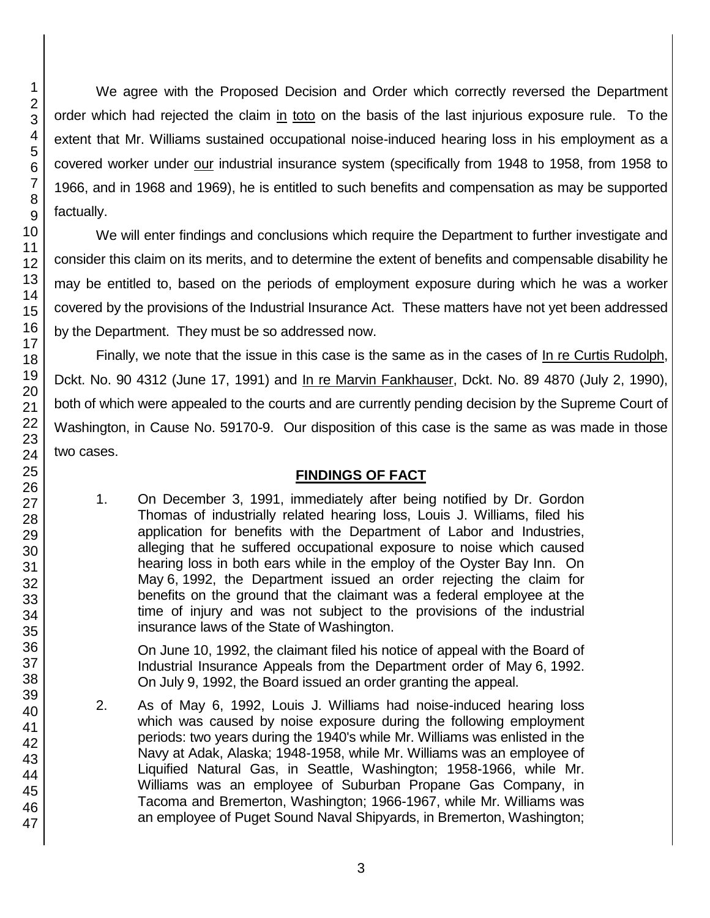46 47

We agree with the Proposed Decision and Order which correctly reversed the Department order which had rejected the claim in toto on the basis of the last injurious exposure rule. To the extent that Mr. Williams sustained occupational noise-induced hearing loss in his employment as a covered worker under our industrial insurance system (specifically from 1948 to 1958, from 1958 to 1966, and in 1968 and 1969), he is entitled to such benefits and compensation as may be supported factually.

We will enter findings and conclusions which require the Department to further investigate and consider this claim on its merits, and to determine the extent of benefits and compensable disability he may be entitled to, based on the periods of employment exposure during which he was a worker covered by the provisions of the Industrial Insurance Act. These matters have not yet been addressed by the Department. They must be so addressed now.

Finally, we note that the issue in this case is the same as in the cases of In re Curtis Rudolph, Dckt. No. 90 4312 (June 17, 1991) and In re Marvin Fankhauser, Dckt. No. 89 4870 (July 2, 1990), both of which were appealed to the courts and are currently pending decision by the Supreme Court of Washington, in Cause No. 59170-9. Our disposition of this case is the same as was made in those two cases.

# **FINDINGS OF FACT**

1. On December 3, 1991, immediately after being notified by Dr. Gordon Thomas of industrially related hearing loss, Louis J. Williams, filed his application for benefits with the Department of Labor and Industries, alleging that he suffered occupational exposure to noise which caused hearing loss in both ears while in the employ of the Oyster Bay Inn. On May 6, 1992, the Department issued an order rejecting the claim for benefits on the ground that the claimant was a federal employee at the time of injury and was not subject to the provisions of the industrial insurance laws of the State of Washington.

On June 10, 1992, the claimant filed his notice of appeal with the Board of Industrial Insurance Appeals from the Department order of May 6, 1992. On July 9, 1992, the Board issued an order granting the appeal.

2. As of May 6, 1992, Louis J. Williams had noise-induced hearing loss which was caused by noise exposure during the following employment periods: two years during the 1940's while Mr. Williams was enlisted in the Navy at Adak, Alaska; 1948-1958, while Mr. Williams was an employee of Liquified Natural Gas, in Seattle, Washington; 1958-1966, while Mr. Williams was an employee of Suburban Propane Gas Company, in Tacoma and Bremerton, Washington; 1966-1967, while Mr. Williams was an employee of Puget Sound Naval Shipyards, in Bremerton, Washington;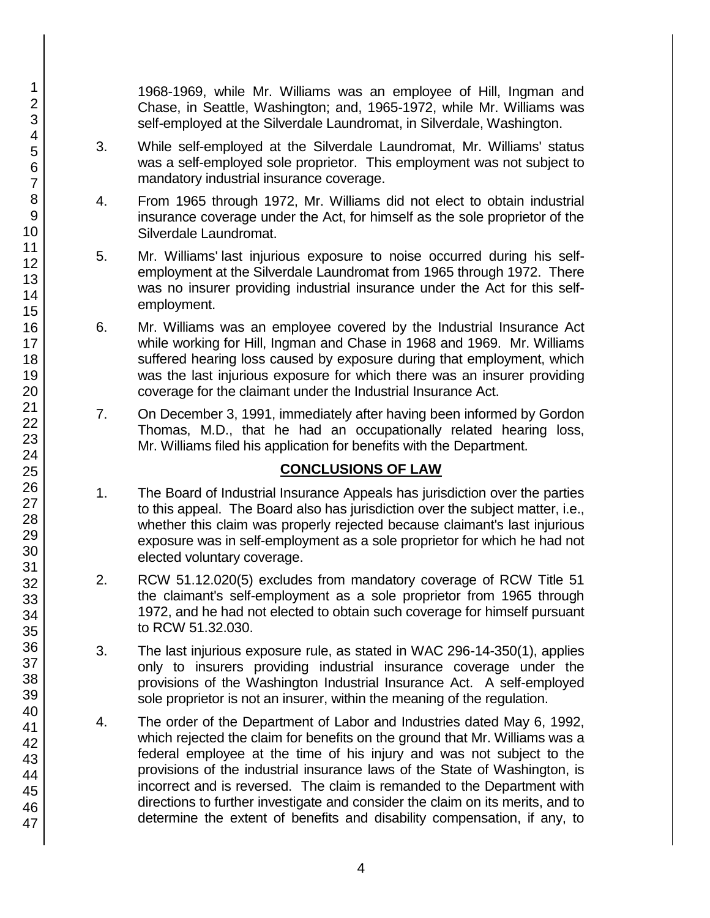1968-1969, while Mr. Williams was an employee of Hill, Ingman and Chase, in Seattle, Washington; and, 1965-1972, while Mr. Williams was self-employed at the Silverdale Laundromat, in Silverdale, Washington.

- 3. While self-employed at the Silverdale Laundromat, Mr. Williams' status was a self-employed sole proprietor. This employment was not subject to mandatory industrial insurance coverage.
- 4. From 1965 through 1972, Mr. Williams did not elect to obtain industrial insurance coverage under the Act, for himself as the sole proprietor of the Silverdale Laundromat.
- 5. Mr. Williams' last injurious exposure to noise occurred during his selfemployment at the Silverdale Laundromat from 1965 through 1972. There was no insurer providing industrial insurance under the Act for this selfemployment.
- 6. Mr. Williams was an employee covered by the Industrial Insurance Act while working for Hill, Ingman and Chase in 1968 and 1969. Mr. Williams suffered hearing loss caused by exposure during that employment, which was the last injurious exposure for which there was an insurer providing coverage for the claimant under the Industrial Insurance Act.
- 7. On December 3, 1991, immediately after having been informed by Gordon Thomas, M.D., that he had an occupationally related hearing loss, Mr. Williams filed his application for benefits with the Department.

# **CONCLUSIONS OF LAW**

- 1. The Board of Industrial Insurance Appeals has jurisdiction over the parties to this appeal. The Board also has jurisdiction over the subject matter, i.e., whether this claim was properly rejected because claimant's last injurious exposure was in self-employment as a sole proprietor for which he had not elected voluntary coverage.
- 2. RCW 51.12.020(5) excludes from mandatory coverage of RCW Title 51 the claimant's self-employment as a sole proprietor from 1965 through 1972, and he had not elected to obtain such coverage for himself pursuant to RCW 51.32.030.
- 3. The last injurious exposure rule, as stated in WAC 296-14-350(1), applies only to insurers providing industrial insurance coverage under the provisions of the Washington Industrial Insurance Act. A self-employed sole proprietor is not an insurer, within the meaning of the regulation.
- 4. The order of the Department of Labor and Industries dated May 6, 1992, which rejected the claim for benefits on the ground that Mr. Williams was a federal employee at the time of his injury and was not subject to the provisions of the industrial insurance laws of the State of Washington, is incorrect and is reversed. The claim is remanded to the Department with directions to further investigate and consider the claim on its merits, and to determine the extent of benefits and disability compensation, if any, to